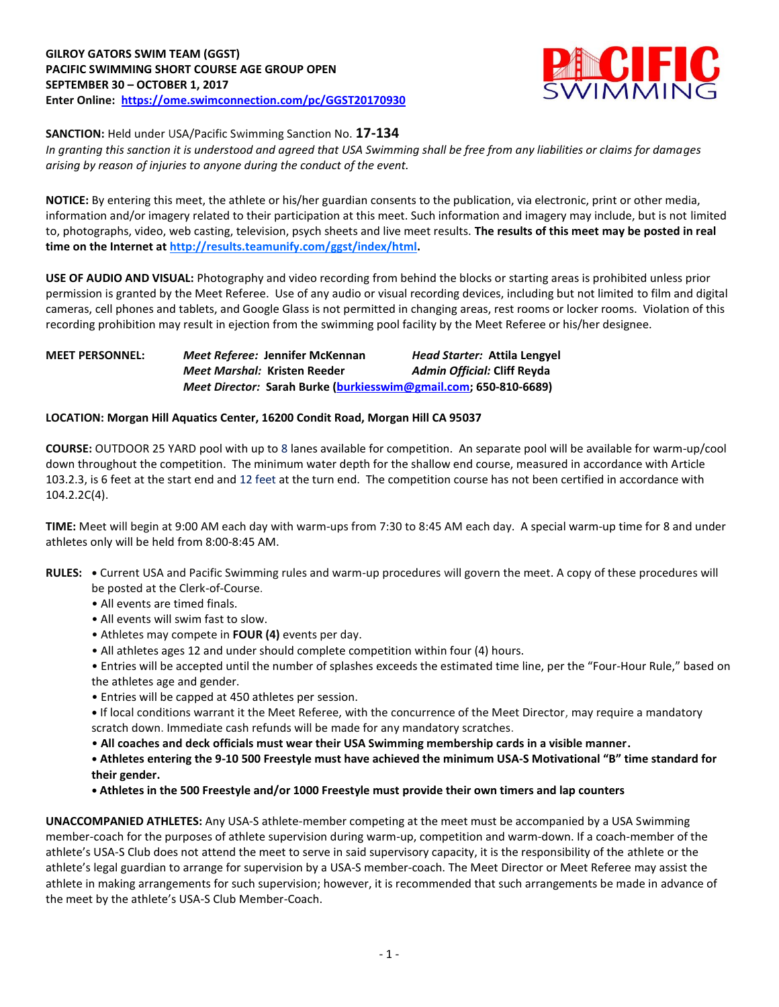

**SANCTION:** Held under USA/Pacific Swimming Sanction No. **17-134**

*In granting this sanction it is understood and agreed that USA Swimming shall be free from any liabilities or claims for damages arising by reason of injuries to anyone during the conduct of the event.*

**NOTICE:** By entering this meet, the athlete or his/her guardian consents to the publication, via electronic, print or other media, information and/or imagery related to their participation at this meet. Such information and imagery may include, but is not limited to, photographs, video, web casting, television, psych sheets and live meet results. **The results of this meet may be posted in real time on the Internet at http://results.teamunify.com/ggst/index/html.**

**USE OF AUDIO AND VISUAL:** Photography and video recording from behind the blocks or starting areas is prohibited unless prior permission is granted by the Meet Referee. Use of any audio or visual recording devices, including but not limited to film and digital cameras, cell phones and tablets, and Google Glass is not permitted in changing areas, rest rooms or locker rooms. Violation of this recording prohibition may result in ejection from the swimming pool facility by the Meet Referee or his/her designee.

## **MEET PERSONNEL:** *Meet Referee:* **Jennifer McKennan** *Head Starter:* **Attila Lengyel** *Meet Marshal:* **Kristen Reeder** *Admin Official:* **Cliff Reyda** *Meet Director:* **Sarah Burke [\(burkiesswim@gmail.com;](mailto:burkiesswim@gmail.com) 650-810-6689)**

## **LOCATION: Morgan Hill Aquatics Center, 16200 Condit Road, Morgan Hill CA 95037**

**COURSE:** OUTDOOR 25 YARD pool with up to 8 lanes available for competition. An separate pool will be available for warm-up/cool down throughout the competition. The minimum water depth for the shallow end course, measured in accordance with Article 103.2.3, is 6 feet at the start end and 12 feet at the turn end. The competition course has not been certified in accordance with 104.2.2C(4).

**TIME:** Meet will begin at 9:00 AM each day with warm-ups from 7:30 to 8:45 AM each day. A special warm-up time for 8 and under athletes only will be held from 8:00-8:45 AM.

- **RULES: •** Current USA and Pacific Swimming rules and warm-up procedures will govern the meet. A copy of these procedures will be posted at the Clerk-of-Course.
	- All events are timed finals.
	- All events will swim fast to slow.
	- Athletes may compete in **FOUR (4)** events per day.
	- All athletes ages 12 and under should complete competition within four (4) hours.

• Entries will be accepted until the number of splashes exceeds the estimated time line, per the "Four-Hour Rule," based on the athletes age and gender.

• Entries will be capped at 450 athletes per session.

**•** If local conditions warrant it the Meet Referee, with the concurrence of the Meet Director, may require a mandatory scratch down. Immediate cash refunds will be made for any mandatory scratches.

• **All coaches and deck officials must wear their USA Swimming membership cards in a visible manner.** 

**• Athletes entering the 9-10 500 Freestyle must have achieved the minimum USA-S Motivational "B" time standard for their gender.**

**• Athletes in the 500 Freestyle and/or 1000 Freestyle must provide their own timers and lap counters**

**UNACCOMPANIED ATHLETES:** Any USA-S athlete-member competing at the meet must be accompanied by a USA Swimming member-coach for the purposes of athlete supervision during warm-up, competition and warm-down. If a coach-member of the athlete's USA-S Club does not attend the meet to serve in said supervisory capacity, it is the responsibility of the athlete or the athlete's legal guardian to arrange for supervision by a USA-S member-coach. The Meet Director or Meet Referee may assist the athlete in making arrangements for such supervision; however, it is recommended that such arrangements be made in advance of the meet by the athlete's USA-S Club Member-Coach.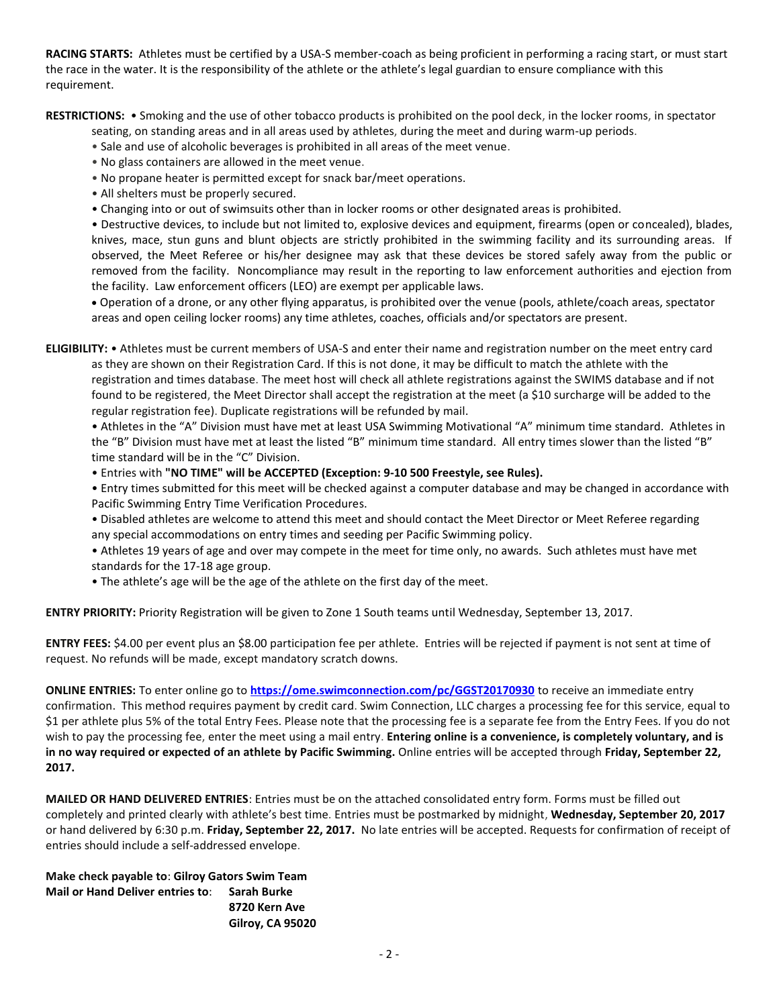**RACING STARTS:** Athletes must be certified by a USA-S member-coach as being proficient in performing a racing start, or must start the race in the water. It is the responsibility of the athlete or the athlete's legal guardian to ensure compliance with this requirement.

**RESTRICTIONS:** • Smoking and the use of other tobacco products is prohibited on the pool deck, in the locker rooms, in spectator

seating, on standing areas and in all areas used by athletes, during the meet and during warm-up periods.

- Sale and use of alcoholic beverages is prohibited in all areas of the meet venue.
- No glass containers are allowed in the meet venue.
- No propane heater is permitted except for snack bar/meet operations.
- All shelters must be properly secured.
- Changing into or out of swimsuits other than in locker rooms or other designated areas is prohibited.

• Destructive devices, to include but not limited to, explosive devices and equipment, firearms (open or concealed), blades, knives, mace, stun guns and blunt objects are strictly prohibited in the swimming facility and its surrounding areas. If observed, the Meet Referee or his/her designee may ask that these devices be stored safely away from the public or removed from the facility. Noncompliance may result in the reporting to law enforcement authorities and ejection from the facility. Law enforcement officers (LEO) are exempt per applicable laws.

 Operation of a drone, or any other flying apparatus, is prohibited over the venue (pools, athlete/coach areas, spectator areas and open ceiling locker rooms) any time athletes, coaches, officials and/or spectators are present.

**ELIGIBILITY:** • Athletes must be current members of USA-S and enter their name and registration number on the meet entry card as they are shown on their Registration Card. If this is not done, it may be difficult to match the athlete with the registration and times database. The meet host will check all athlete registrations against the SWIMS database and if not found to be registered, the Meet Director shall accept the registration at the meet (a \$10 surcharge will be added to the regular registration fee). Duplicate registrations will be refunded by mail.

• Athletes in the "A" Division must have met at least USA Swimming Motivational "A" minimum time standard. Athletes in the "B" Division must have met at least the listed "B" minimum time standard. All entry times slower than the listed "B" time standard will be in the "C" Division.

• Entries with **"NO TIME" will be ACCEPTED (Exception: 9-10 500 Freestyle, see Rules).**

• Entry times submitted for this meet will be checked against a computer database and may be changed in accordance with Pacific Swimming Entry Time Verification Procedures.

• Disabled athletes are welcome to attend this meet and should contact the Meet Director or Meet Referee regarding any special accommodations on entry times and seeding per Pacific Swimming policy.

• Athletes 19 years of age and over may compete in the meet for time only, no awards. Such athletes must have met standards for the 17-18 age group.

• The athlete's age will be the age of the athlete on the first day of the meet.

**ENTRY PRIORITY:** Priority Registration will be given to Zone 1 South teams until Wednesday, September 13, 2017.

**ENTRY FEES:** \$4.00 per event plus an \$8.00 participation fee per athlete. Entries will be rejected if payment is not sent at time of request. No refunds will be made, except mandatory scratch downs.

**ONLINE ENTRIES:** To enter online go to **<https://ome.swimconnection.com/pc/GGST20170930>** to receive an immediate entry confirmation. This method requires payment by credit card. Swim Connection, LLC charges a processing fee for this service, equal to \$1 per athlete plus 5% of the total Entry Fees. Please note that the processing fee is a separate fee from the Entry Fees. If you do not wish to pay the processing fee, enter the meet using a mail entry. **Entering online is a convenience, is completely voluntary, and is in no way required or expected of an athlete by Pacific Swimming.** Online entries will be accepted through **Friday, September 22, 2017.**

**MAILED OR HAND DELIVERED ENTRIES**: Entries must be on the attached consolidated entry form. Forms must be filled out completely and printed clearly with athlete's best time. Entries must be postmarked by midnight, **Wednesday, September 20, 2017** or hand delivered by 6:30 p.m. **Friday, September 22, 2017.** No late entries will be accepted. Requests for confirmation of receipt of entries should include a self-addressed envelope.

**Make check payable to**: **Gilroy Gators Swim Team Mail or Hand Deliver entries to**: **Sarah Burke 8720 Kern Ave Gilroy, CA 95020**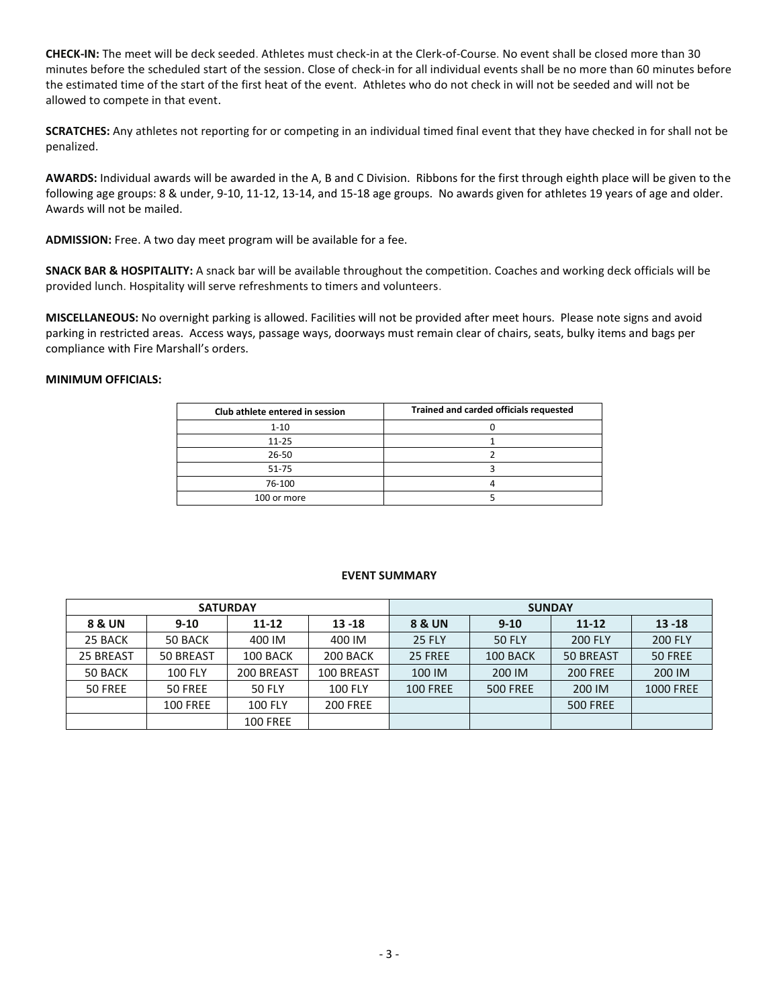**CHECK-IN:** The meet will be deck seeded. Athletes must check-in at the Clerk-of-Course. No event shall be closed more than 30 minutes before the scheduled start of the session. Close of check-in for all individual events shall be no more than 60 minutes before the estimated time of the start of the first heat of the event. Athletes who do not check in will not be seeded and will not be allowed to compete in that event.

**SCRATCHES:** Any athletes not reporting for or competing in an individual timed final event that they have checked in for shall not be penalized.

**AWARDS:** Individual awards will be awarded in the A, B and C Division. Ribbons for the first through eighth place will be given to the following age groups: 8 & under, 9-10, 11-12, 13-14, and 15-18 age groups. No awards given for athletes 19 years of age and older. Awards will not be mailed.

**ADMISSION:** Free. A two day meet program will be available for a fee.

**SNACK BAR & HOSPITALITY:** A snack bar will be available throughout the competition. Coaches and working deck officials will be provided lunch. Hospitality will serve refreshments to timers and volunteers.

**MISCELLANEOUS:** No overnight parking is allowed. Facilities will not be provided after meet hours. Please note signs and avoid parking in restricted areas. Access ways, passage ways, doorways must remain clear of chairs, seats, bulky items and bags per compliance with Fire Marshall's orders.

## **MINIMUM OFFICIALS:**

| Club athlete entered in session | Trained and carded officials requested |
|---------------------------------|----------------------------------------|
| $1 - 10$                        |                                        |
| $11 - 25$                       |                                        |
| $26 - 50$                       |                                        |
| $51 - 75$                       |                                        |
| 76-100                          |                                        |
| 100 or more                     |                                        |

## **EVENT SUMMARY**

|           |                 | <b>SATURDAY</b> |                 | <b>SUNDAY</b>   |                 |                  |                  |  |  |
|-----------|-----------------|-----------------|-----------------|-----------------|-----------------|------------------|------------------|--|--|
| 8 & UN    | $9-10$          | $11 - 12$       | $13 - 18$       | 8 & UN          | $9 - 10$        | $11 - 12$        | $13 - 18$        |  |  |
| 25 BACK   | 50 BACK         | 400 IM          | 400 IM          | <b>25 FLY</b>   | <b>50 FLY</b>   | <b>200 FLY</b>   | <b>200 FLY</b>   |  |  |
| 25 BREAST | 50 BREAST       | 100 BACK        | 200 BACK        | 25 FREE         | 100 BACK        | <b>50 BREAST</b> | 50 FREE          |  |  |
| 50 BACK   | <b>100 FLY</b>  | 200 BREAST      | 100 BREAST      | 100 IM          | 200 IM          | <b>200 FREE</b>  | 200 IM           |  |  |
| 50 FREE   | 50 FREE         | <b>50 FLY</b>   | <b>100 FLY</b>  | <b>100 FREE</b> | <b>500 FREE</b> | 200 IM           | <b>1000 FREE</b> |  |  |
|           | <b>100 FREE</b> | <b>100 FLY</b>  | <b>200 FREE</b> |                 |                 | <b>500 FREE</b>  |                  |  |  |
|           |                 | <b>100 FREE</b> |                 |                 |                 |                  |                  |  |  |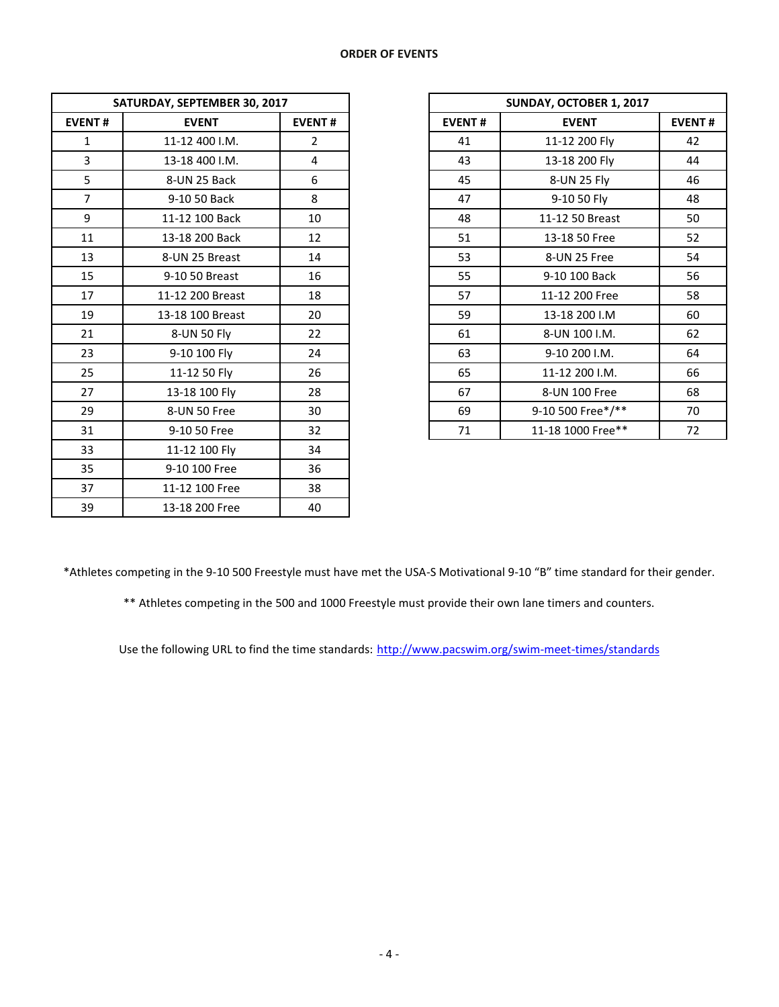| SATURDAY, SEPTEMBER 30, 2017 |                  |                |               | SUNDAY, OCTOBER 1, 2017 |  |  |  |
|------------------------------|------------------|----------------|---------------|-------------------------|--|--|--|
| <b>EVENT#</b>                | <b>EVENT</b>     | <b>EVENT#</b>  | <b>EVENT#</b> | <b>EVENT</b>            |  |  |  |
| $\mathbf{1}$                 | 11-12 400 I.M.   | $\overline{2}$ | 41            | 11-12 200 Fly           |  |  |  |
| $\overline{3}$               | 13-18 400 I.M.   | 4              | 43            | 13-18 200 Fly           |  |  |  |
| 5                            | 8-UN 25 Back     | 6              | 45            | 8-UN 25 Fly             |  |  |  |
| $\overline{7}$               | 9-10 50 Back     | 8              | 47            | 9-10 50 Fly             |  |  |  |
| 9                            | 11-12 100 Back   | 10             | 48            | 11-12 50 Breast         |  |  |  |
| 11                           | 13-18 200 Back   | 12             | 51            | 13-18 50 Free           |  |  |  |
| 13                           | 8-UN 25 Breast   | 14             | 53            | 8-UN 25 Free            |  |  |  |
| 15                           | 9-10 50 Breast   | 16             | 55            | 9-10 100 Back           |  |  |  |
| 17                           | 11-12 200 Breast | 18             | 57            | 11-12 200 Free          |  |  |  |
| 19                           | 13-18 100 Breast | 20             | 59            | 13-18 200 I.M           |  |  |  |
| 21                           | 8-UN 50 Fly      | 22             | 61            | 8-UN 100 I.M.           |  |  |  |
| 23                           | 9-10 100 Fly     | 24             | 63            | 9-10 200 I.M.           |  |  |  |
| 25                           | 11-12 50 Fly     | 26             | 65            | 11-12 200 I.M.          |  |  |  |
| 27                           | 13-18 100 Fly    | 28             | 67            | 8-UN 100 Free           |  |  |  |
| 29                           | 8-UN 50 Free     | 30             | 69            | 9-10 500 Free*/**       |  |  |  |
| 31                           | 9-10 50 Free     | 32             | 71            | 11-18 1000 Free**       |  |  |  |
| 33                           | 11-12 100 Fly    | 34             |               |                         |  |  |  |
| 35                           | 9-10 100 Free    | 36             |               |                         |  |  |  |
| 37                           | 11-12 100 Free   | 38             |               |                         |  |  |  |
| 39                           | 13-18 200 Free   | 40             |               |                         |  |  |  |

|                | SATURDAY, SEPTEMBER 30, 2017 |                |
|----------------|------------------------------|----------------|
| <b>EVENT#</b>  | <b>EVENT</b>                 | <b>EVENT#</b>  |
| $\mathbf{1}$   | 11-12 400 I.M.               | $\overline{2}$ |
| 3              | 13-18 400 I.M.               | 4              |
| 5              | 8-UN 25 Back                 | 6              |
| $\overline{7}$ | 9-10 50 Back                 | 8              |
| 9              | 11-12 100 Back               | 10             |
| 11             | 13-18 200 Back               | 12             |
| 13             | 8-UN 25 Breast               | 14             |
| 15             | 9-10 50 Breast               | 16             |
| 17             | 11-12 200 Breast             | 18             |
| 19             | 13-18 100 Breast             | 20             |
| 21             | 8-UN 50 Fly                  | 22             |
| 23             | 9-10 100 Fly                 | 24             |
| 25             | 11-12 50 Fly                 | 26             |
| 27             | 13-18 100 Fly                | 28             |
| 29             | 8-UN 50 Free                 | 30             |
| 31             | 9-10 50 Free                 | 32             |

\*Athletes competing in the 9-10 500 Freestyle must have met the USA-S Motivational 9-10 "B" time standard for their gender.

\*\* Athletes competing in the 500 and 1000 Freestyle must provide their own lane timers and counters.

Use the following URL to find the time standards: <http://www.pacswim.org/swim-meet-times/standards>